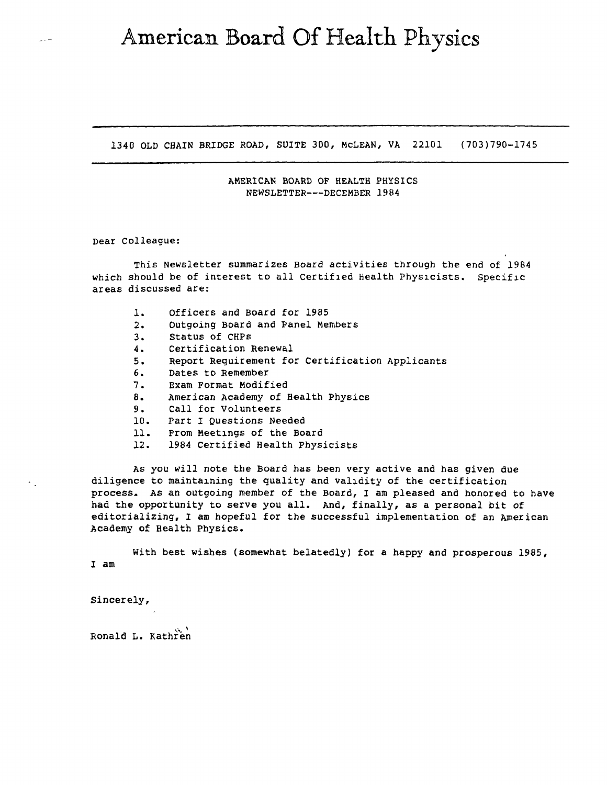# **American Board Of Health** Physics

1340 OLD CHAIN BRIDGE ROAD, SUITE 300, McLEAN, VA 22101 (703)790-1745

**AMERICAN** BOARD OF HEALTH PHYSICS NEWSLETTER---DECEMBER 1984

Dear Colleague:

This Newsletter summarizes Board activities through the end of 1984 which should be of interest to all certified Health Physicists. Specific areas discussed are:

- 1. Officers and Board for 1985
- 2. outgoing Board and Panel Members
- 3. Status of CHPs
- 4. Certification Renewal
- 5. Report Requirement for certification Applicants
- 6. Dates to Remember
- 7. Exam Format Modified
- 8. American Academy of Health Physics
- 9. Call for Volunteers
- 10. Part I Questions Needed
- 11. From Meetings of the Board
- 12. 1984 Certified Health Physicists

As you will note the Board has been very active and has given due diligence to maintaining the quality and validity of the certification process. *As* an outgoing member of the Board, I am pleased and honored to have had the opportunity to serve you all. And, finally, as a personal bit of editorializing, I am hopeful for the successful implementation of an American Academy of Health Physics.

With best wishes (somewhat belatedly) for a happy and prosperous 1985, I am

Sincerely,

÷.

Ronald L. Kathren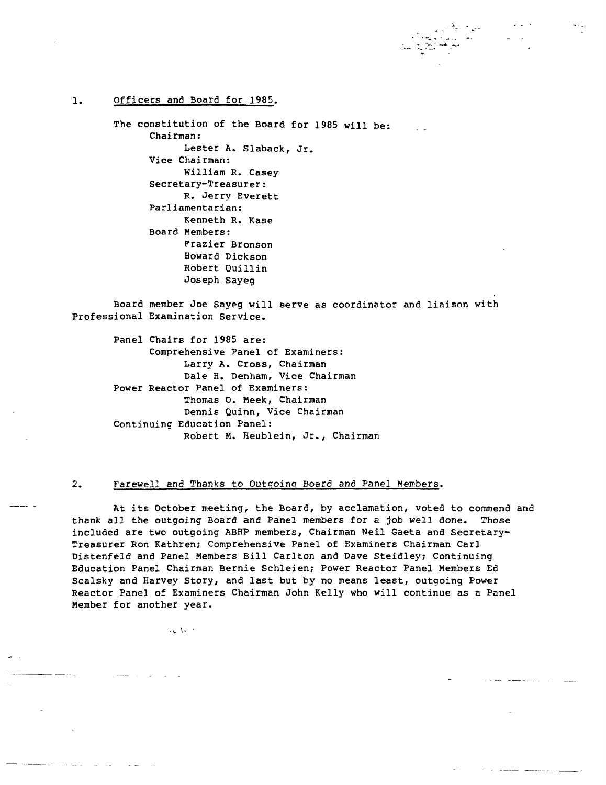#### 1. Officers and Board for 1985.

The constitution of the Board for 1985 will be: Chairman: Lester A. Slaback, Jr. Vice Chairman: William R. Casey Secretary-Treasurer: R. Jerry Everett Parliamentarian: Kenneth R. Kase Board Members: Frazier Bronson Howard Dickson Robert Quillin Joseph Sayeg Board member Joe Sayeg will serve as coordinator and liaison with Professional Examination Service.

~ <sup>\*</sup> . https://www.<br>..... - 75 \* 75 <del>%</del> ...... ~~~<br>~~~

Panel Chairs for 1985 are: Comprehensive Panel of Examiners: Larry A. Cross, Chairman Dale B. Denham, Vice Chairman Power Reactor Panel of Examiners: Thomas o. Meek, Chairman Dennis Quinn, Vice Chairman Continuing Education Panel: Robert M. Heublein, Jr., Chairman

#### 2. Farewell and Thanks to Outgoina Board and Panel Members.

At its October meeting, the Board, by acclamation, voted to commend and thank all the outgoing Board and Panel members for a job well done. Those included are two outgoing ABHP members, Chairman Neil Gaeta and Secretary-Treasurer Ron Kathren; Comprehensive Panel of Examiners Chairman Carl Distenfeld and Panel Members Bill Carlton and Dave Steidley; Continuing Education Panel Chairman Bernie Schleien; Power Reactor Panel Members Ed Scalsky and Harvey Story, and last but by no means least, outgoing Power Reactor Panel of Examiners Chairman John Kelly who will continue as a Panel Member for another year.

 $\mathbf{w}$   $\mathcal{M}$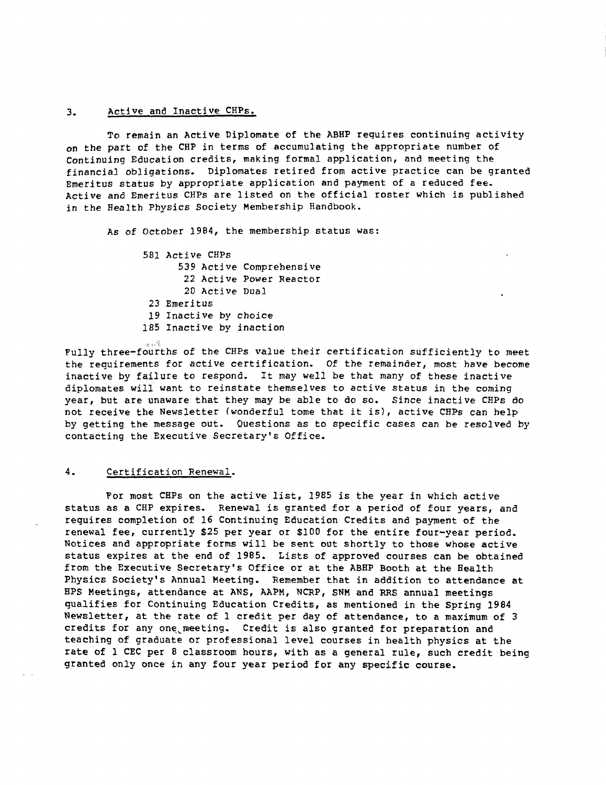## 3. Active and Inactive CHPs.

To remain an Active Diplomate of the ABHP requires continuing activity on the part of the CHP in terms of accumulating the appropriate number of continuing Education credits, making formal application, and meeting the financial obligations. Diplomates retired from active practice can be granted Emeritus status by appropriate application and payment of a reduced fee. Active and Emeritus CHPs are listed on the official roster which is published in the Health Physics Society Membership Handbook.

As of October 1984, the membership status was:

```
581 Active CHPs 
      539 Active Comprehensive 
       22 Active Power Reactor 
       20 Active Dual 
 23 Emeritus 
 19 Inactive by choice 
185 Inactive by inaction
```
*r* 'j' \ I f) Fully three-fourths of the CHPs value their certification sufficiently *to* meet the requirements for active certification. Of the remainder, most have become inactive by failure to respond. It may well be that many of these inactive diplomates will want to reinstate themselves to *active* status in the coming year, but are unaware that they may be able *to* do so. Since inactive CHPs do not receive the Newsletter (wonderful tome that it is), active CHPs can help by getting the message out. Questions as to specific cases can be resolved by contacting the Executive Secretary's Office.

# 4. Certification Renewal.

For most CHPs on the active list, 1985 is the year in which active status as a CHP expires. Renewal is granted for a period of four years, and requires completion of 16 Continuing Education Credits and payment of the renewal fee, currently \$25 per year or \$100 for the entire four-year period. Notices and appropriate forms will be sent out shortly to those whose active status expires at the end of 1985. Lists of approved courses can be obtained from the Executive Secretary's Office or at the ABHP Booth at the Eealth Physics Society's Annual Meeting. Remember that in addition to attendance at BPS Meetings, attendance at ANS, AAPM, NCRP, SNM and RRS annual meetings qualifies for Continuing Education Credits, as mentioned in the Spring 1984 Newsletter, at the rate of 1 credit per day of attendance, to a maximum of 3 credits for any one meeting. Credit is also granted for preparation and teaching of graduate or professional level courses in health physics at the rate of 1 CEC per 8 classroom hours, with as <sup>a</sup>general rule, such credit being granted only once in any four year period for any specific course.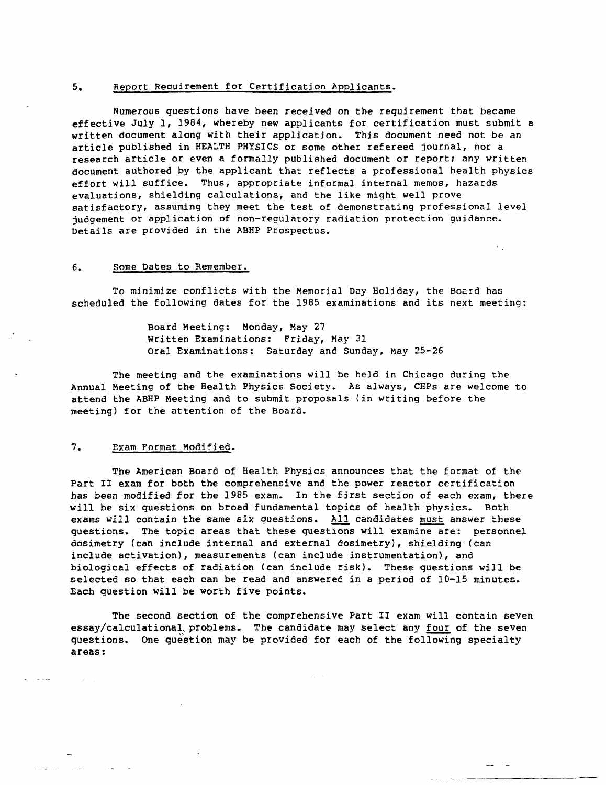#### 5. Report Requirement for Certification Applicants.

Numerous questions have been received on the requirement that became effective July 1, 1984, whereby new applicants for certification must submit a written document along with their application. This document need not be an article published in HEALTH PHYSICS or some other refereed journal, nor a research article or even a formally published document or report; any written document authored by the applicant that reflects a professional health physics effort will suffice. Thus, appropriate informal internal memos, hazards evaluations, shielding calculations, and the like might well prove satisfactory, assuming they meet the test of demonstrating professional level judgement or application of non-regulatory radiation protection guidance. Details are provided in the ABHP Prospectus.

#### 6. Some Dates to Remember.

To minimize conflicts with the Memorial Day Holiday, the Board has scheduled the following dates for the 1985 examinations and its next meeting:

 $\mathbf{v}$  .

Board Meeting: Monday, May 27 .Written Examinations: Friday, May 31 Oral Examinations: Saturday and Sunday, May 25-26

The meeting and the examinations will be held in Chicago during the Annual Meeting of the Health Physics Society. As always, CHPs are welcome to attend the ABHP Meeting and to submit proposals (in writing before the meeting) for the attention of the Board.

### 7. Exam Format Modified.

 $\sim 10^{10}$ 

The American Board of Health Physics announces that the format of the Part II exam for both the comprehensive and the power reactor certification has been modified for the 1985 exam. ln the first section of each exam, there will be six questions on broad fundamental topics of health physics. Both exams will contain the same six questions.  $\Delta 11$  candidates must answer these questions. The topic areas that these questions will examine are: personnel dosimetry (can include internal and external dosimetry), shielding (can include activation), measurements (can include instrumentation), and biological effects of radiation (can include risk). These questions will be selected so that each can be read and answered in a period of 10-15 minutes. Each question will be worth five points.

The second section of the comprehensive Part II exam will contain seven essay/calculational problems. The candidate may select any four of the seven questions. One question may be provided for each of the following specialty areas: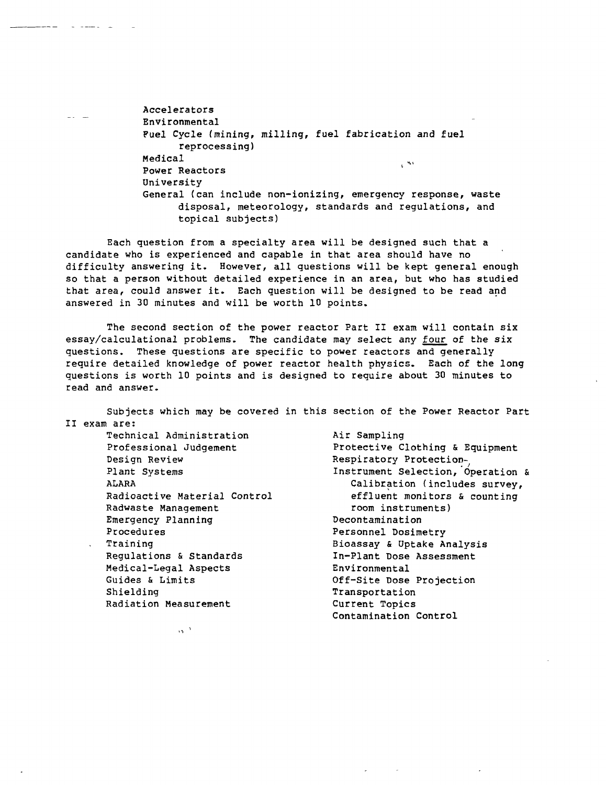Accelerators Environmental Fuel Cycle (mining, milling, fuel fabrication and fuel reprocessing) Medical  $\mathcal{C}^{\mathrm{W1}}$ Power Reactors University General (can include non-ionizing, emergency response, waste disposal, meteorology, standards and regulations, and topical subjects)

Each question from a specialty area will be designed such that a candidate who is experienced and capable in that area should have no difficulty answering it. However, all questions will be kept general enough so that a person without detailed experience in an area, but who has studied that area, could answer it. Each question will be designed to be read and answered in 30 minutes and will be worth 10 points.

The second section of the power reactor Part II exam will contain six essay/calculational problems. The candidate may select any four of the six questions. These questions are specific to power reactors and generally require detailed knowledge of power reactor health physics. Each of the long questions is worth 10 points and is designed to require about 30 minutes to read and answer.

Subjects which may be covered in this section of the Power Reactor Part II exam are:

Technical Administration Professional Judgement Design Review Plant Systems **ALARA**  Radioactive Material Control Radwaste Management Emergency Planning Procedures Training Regulations & Standards Medical-Legal Aspects Guides & Limits Shielding Radiation Measurement

Air Sampling Protective Clothing & Equipment Respiratory Protection-Instrument Selection, Operation & Calibration (includes survey, effluent monitors & counting room instruments) Decontamination Personnel Dosimetry Bioassay & Uptake Analysis In-Plant Dose Assessment Environmental Off-Site Dose Projection Transportation Current Topics Contamination Control

 $\mathcal{O}(\mathcal{A})$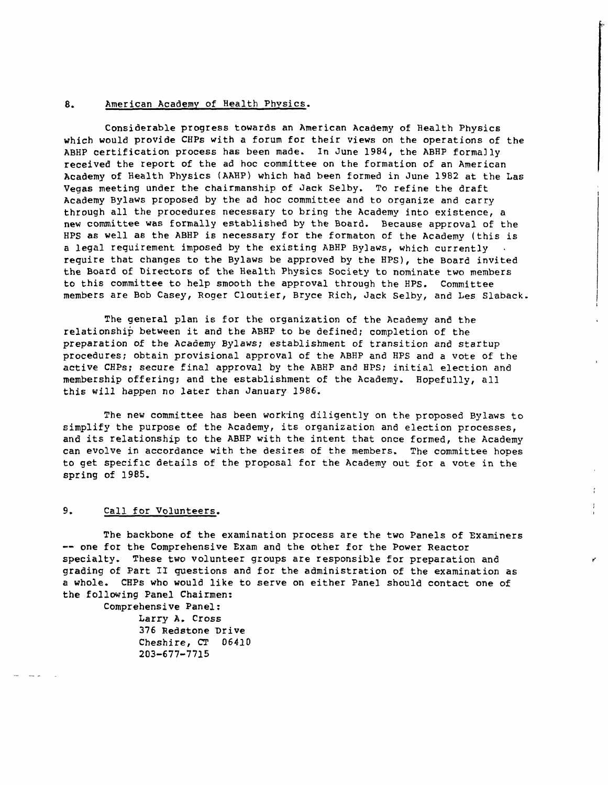# 8. American Academy of Health Physics.

Considerable progress towards an American Academy of Health Physics which would provide CHPs with a forum for their views on the operations of the ABHP certification process has been made. In June 1984, the ABHP forma)ly received the report of the ad hoc committee on the formation of an American Academy of Health Physics (AAHP) which had been formed in June 1982 at the Las Vegas meeting under the chairmanship of Jack Selby. To refine the draft Academy Bylaws proposed by the ad hoc committee and to organize and carry through all the procedures necessary to bring the Academy into existence, a new committee was formally established by the Board. Because approval of the HPS as well as the ABHP is necessary for the forrnaton of the Academy (this is a legal requirement imposed by the existing ABHP Bylaws, which currently require that changes to the Bylaws be approved by the HPS), the Board invited the Board of Directors of the Health Physics Society to nominate two members to this committee to help smooth the approval through the HPS. Committee members are Bob Casey, Roger Cloutier, Bryce Rich, Jack Selby, and Les Slaback.

The general plan is for the organization of the Academy and the relationship between it and the ABHP to be defined; completion of the preparation of the Academy Bylaws; establishment of transition and startup procedures; obtain provisional approval of the ABHP and BPS and a vote of the active CHPs: secure final approval by the ABHP and BPS; initial election and membership offering; and the establishment of the Academy. Hopefully, all this will happen no later than January 1986.

The new committee has been working diligently on the proposed Bylaws to simplify the purpose of the Academy, its organization and election processes, and its relationship to the ABHP with the intent that once formed, the Academy can evolve in accordance with the desires of the members. The committee hopes to get specific details of the proposal for the Academy out for a vote in the spring of 1985.

 $\cdot$ 

# 9. Call for Volunteers.

The backbone of the examination process are the two Panels of Examiners -- one for the Comprehensive Exam and the other for the Power Reactor specialty. These two volunteer groups are responsible for preparation and grading of Part II questions and for the administration of the examination as a whole. CHPs who would like to serve on either Panel should contact one of the following Panel Chairmen:

Comprehensive Panel: Larry A. Cross 376 Redstone Drive Cheshire, CT 06410 203-677-7715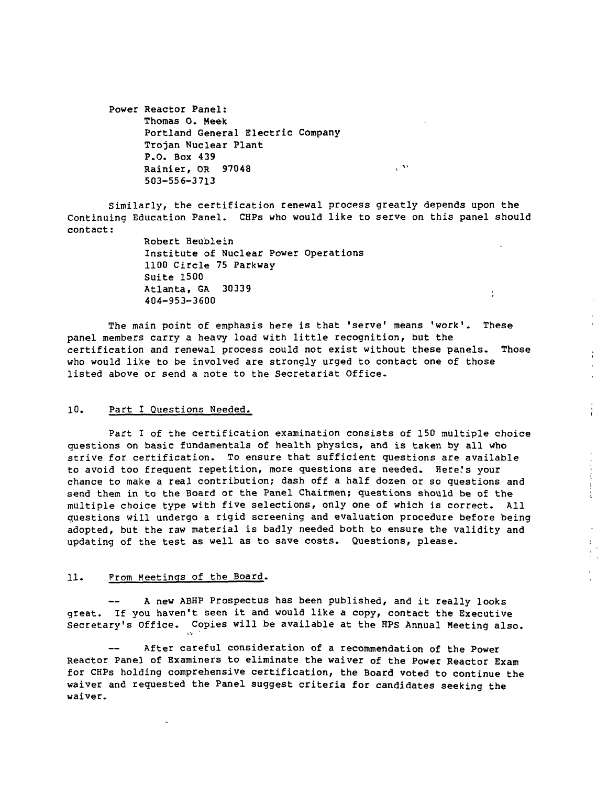Power Reactor Panel: Thomas o. Meek Portland General Electric Company Trojan Nuclear Plant P.O. **Box 439**  Rainier, OR 97048 503-556-3713

Similarly, the certification renewal process greatly depends upon the Continuing Education Panel. CHPs who would like to serve on this panel should contact:

 $\mathbb{R}^{N \times N}$ 

 $\mathcal{L}$ 

Robert Heublein Institute of Nuclear Power Operations 1100 Circle 75 Parkway Suite 1500 Atlanta, GA 30339 404-953-3600

The main point of emphasis here is that 'serve' means 'work'. These panel members carry <sup>a</sup>heavy load with little recognition, but the certification and renewal process could not exist without these panels. Those who would like to be involved are strongly urged to contact one of those listed above or send a note to the Secretariat Office.

# 10. Part I Questions Needed.

Part I of the certification examination consists of 150 multiple choice questions on basic fundamentals of health physics, and is taken by all who strive for certification. To ensure that sufficient questions are available to avoid too frequent repetition, more questions are needed. Here!s your chance to make a real contribution; dash off a half dozen or so questions and send them in to the Board or the Panel Chairmen: questions should be of the multiple choice type with five selections, only one of which is correct. All questions will undergo a rigid screening and evaluation procedure before being adopted, but the raw material is badly needed both to ensure the validity and updating of the test as well as to save costs. Questions, please.

#### 11. From Meetings of the Board.

A new ABHP Prospectus has been published, and it really looks great. If you haven't seen it and would like a copy, contact the Executive secretary's Office. Copies will be available at the HPS Annual Meeting also.

After careful consideration of a recommendation of the Power Reactor Panel of Examiners to eliminate the waiver of the Power Reactor Exam for CHPs holding comprehensive certification, the Board voted to continue the waiver and requested the Panel suggest criteria for candidates seeking the waiver.